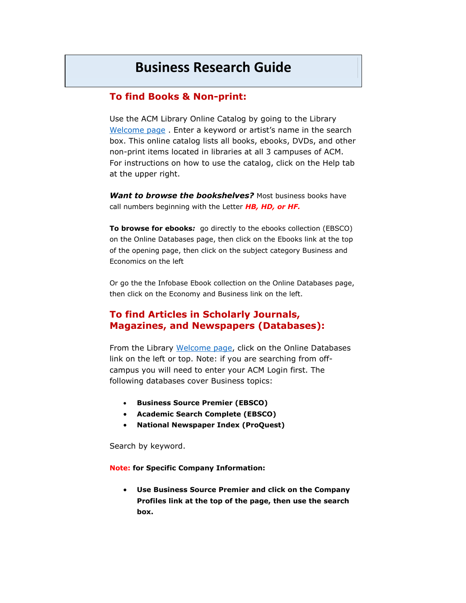# **Business Research Guide**

#### **To find Books & Non-print:**

Use the ACM Library Online Catalog by going to the Library [Welcome page](http://library.allegany.edu/polaris/) . Enter a keyword or artist's name in the search box. This online catalog lists all books, ebooks, DVDs, and other non-print items located in libraries at all 3 campuses of ACM. For instructions on how to use the catalog, click on the Help tab at the upper right.

*Want to browse the bookshelves?* Most business books have call numbers beginning with the Letter *HB, HD, or HF.* 

**To browse for ebooks***:* go directly to the ebooks collection (EBSCO) on the Online Databases page, then click on the Ebooks link at the top of the opening page, then click on the subject category Business and Economics on the left

Or go the the Infobase Ebook collection on the Online Databases page, then click on the Economy and Business link on the left.

### **To find Articles in Scholarly Journals, Magazines, and Newspapers (Databases):**

From the Library [Welcome page,](http://library.allegany.edu/polaris/) click on the Online Databases link on the left or top. Note: if you are searching from offcampus you will need to enter your ACM Login first. The following databases cover Business topics:

- **Business Source Premier (EBSCO)**
- **Academic Search Complete (EBSCO)**
- **National Newspaper Index (ProQuest)**

Search by keyword.

**Note: for Specific Company Information:** 

 **Use Business Source Premier and click on the Company Profiles link at the top of the page, then use the search box.**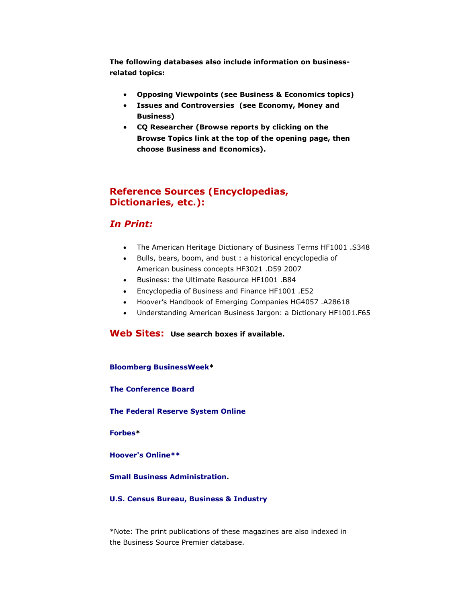**The following databases also include information on businessrelated topics:** 

- **Opposing Viewpoints (see Business & Economics topics)**
- **Issues and Controversies (see Economy, Money and Business)**
- **CQ Researcher (Browse reports by clicking on the Browse Topics link at the top of the opening page, then choose Business and Economics).**

## **Reference Sources (Encyclopedias, Dictionaries, etc.):**

#### *In Print:*

- The American Heritage Dictionary of Business Terms HF1001 .S348
- Bulls, bears, boom, and bust : a historical encyclopedia of American business concepts HF3021 .D59 2007
- Business: the Ultimate Resource HF1001 .B84
- Encyclopedia of Business and Finance HF1001 .E52
- Hoover's Handbook of Emerging Companies HG4057 .A28618
- Understanding American Business Jargon: a Dictionary HF1001.F65

#### **Web Sites: Use search boxes if available.**

**[Bloomberg BusinessWeek\\*](http://www.businessweek.com/)** 

**[The Conference Board](http://www.conference-board.org/)** 

**[The Federal Reserve System Online](http://www.federalreserveonline.org/)** 

**[Forbes\\*](http://www.forbes.com/)** 

**[Hoover's Online\\*](http://www.hoovers.com/)\*** 

**[Small Business Administration.](http://www.sba.gov/)** 

#### **[U.S. Census Bureau, Business & Industry](http://www.census.gov/econ/)**

\*Note: The print publications of these magazines are also indexed in the Business Source Premier database.